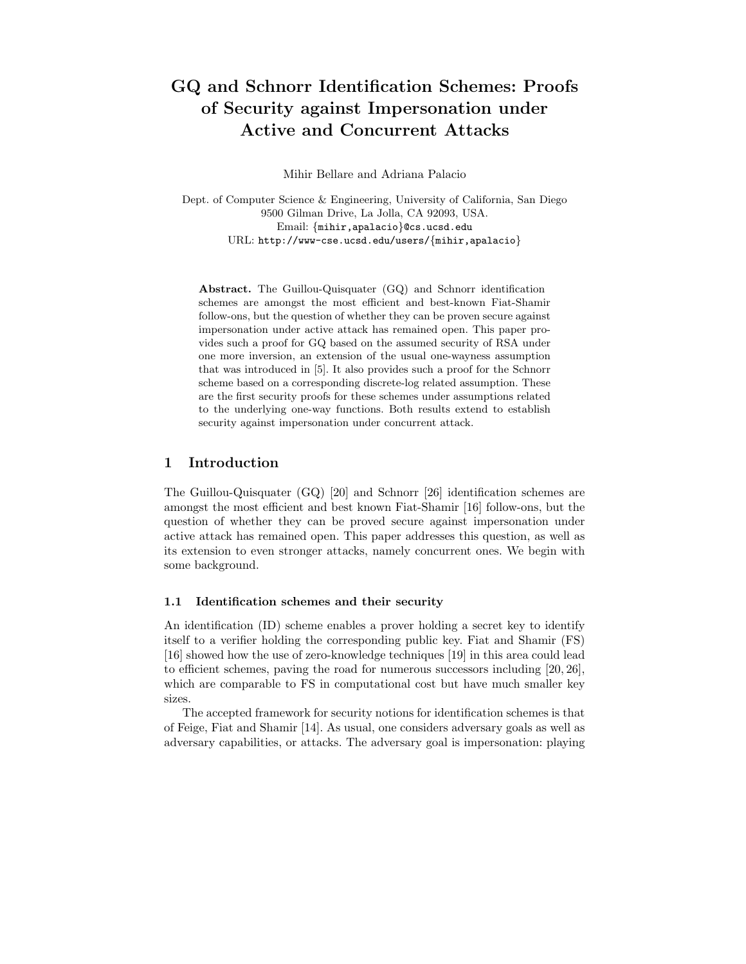# GQ and Schnorr Identification Schemes: Proofs of Security against Impersonation under Active and Concurrent Attacks

Mihir Bellare and Adriana Palacio

Dept. of Computer Science & Engineering, University of California, San Diego 9500 Gilman Drive, La Jolla, CA 92093, USA. Email: {mihir,apalacio}@cs.ucsd.edu URL: http://www-cse.ucsd.edu/users/{mihir,apalacio}

Abstract. The Guillou-Quisquater (GQ) and Schnorr identification schemes are amongst the most efficient and best-known Fiat-Shamir follow-ons, but the question of whether they can be proven secure against impersonation under active attack has remained open. This paper provides such a proof for GQ based on the assumed security of RSA under one more inversion, an extension of the usual one-wayness assumption that was introduced in [5]. It also provides such a proof for the Schnorr scheme based on a corresponding discrete-log related assumption. These are the first security proofs for these schemes under assumptions related to the underlying one-way functions. Both results extend to establish security against impersonation under concurrent attack.

## 1 Introduction

The Guillou-Quisquater (GQ) [20] and Schnorr [26] identification schemes are amongst the most efficient and best known Fiat-Shamir [16] follow-ons, but the question of whether they can be proved secure against impersonation under active attack has remained open. This paper addresses this question, as well as its extension to even stronger attacks, namely concurrent ones. We begin with some background.

#### 1.1 Identification schemes and their security

An identification (ID) scheme enables a prover holding a secret key to identify itself to a verifier holding the corresponding public key. Fiat and Shamir (FS) [16] showed how the use of zero-knowledge techniques [19] in this area could lead to efficient schemes, paving the road for numerous successors including [20, 26], which are comparable to FS in computational cost but have much smaller key sizes.

The accepted framework for security notions for identification schemes is that of Feige, Fiat and Shamir [14]. As usual, one considers adversary goals as well as adversary capabilities, or attacks. The adversary goal is impersonation: playing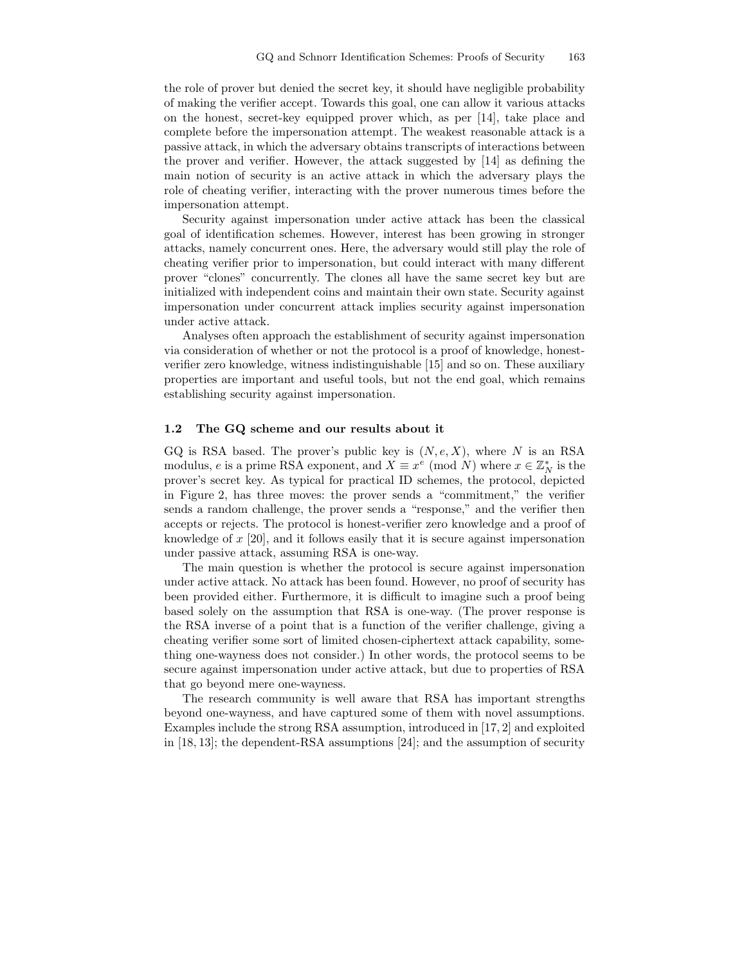the role of prover but denied the secret key, it should have negligible probability of making the verifier accept. Towards this goal, one can allow it various attacks on the honest, secret-key equipped prover which, as per [14], take place and complete before the impersonation attempt. The weakest reasonable attack is a passive attack, in which the adversary obtains transcripts of interactions between the prover and verifier. However, the attack suggested by [14] as defining the main notion of security is an active attack in which the adversary plays the role of cheating verifier, interacting with the prover numerous times before the impersonation attempt.

Security against impersonation under active attack has been the classical goal of identification schemes. However, interest has been growing in stronger attacks, namely concurrent ones. Here, the adversary would still play the role of cheating verifier prior to impersonation, but could interact with many different prover "clones" concurrently. The clones all have the same secret key but are initialized with independent coins and maintain their own state. Security against impersonation under concurrent attack implies security against impersonation under active attack.

Analyses often approach the establishment of security against impersonation via consideration of whether or not the protocol is a proof of knowledge, honestverifier zero knowledge, witness indistinguishable [15] and so on. These auxiliary properties are important and useful tools, but not the end goal, which remains establishing security against impersonation.

#### 1.2 The GQ scheme and our results about it

GQ is RSA based. The prover's public key is  $(N, e, X)$ , where N is an RSA modulus, e is a prime RSA exponent, and  $X \equiv x^e \pmod{N}$  where  $x \in \mathbb{Z}_N^*$  is the prover's secret key. As typical for practical ID schemes, the protocol, depicted in Figure 2, has three moves: the prover sends a "commitment," the verifier sends a random challenge, the prover sends a "response," and the verifier then accepts or rejects. The protocol is honest-verifier zero knowledge and a proof of knowledge of  $x$  [20], and it follows easily that it is secure against impersonation under passive attack, assuming RSA is one-way.

The main question is whether the protocol is secure against impersonation under active attack. No attack has been found. However, no proof of security has been provided either. Furthermore, it is difficult to imagine such a proof being based solely on the assumption that RSA is one-way. (The prover response is the RSA inverse of a point that is a function of the verifier challenge, giving a cheating verifier some sort of limited chosen-ciphertext attack capability, something one-wayness does not consider.) In other words, the protocol seems to be secure against impersonation under active attack, but due to properties of RSA that go beyond mere one-wayness.

The research community is well aware that RSA has important strengths beyond one-wayness, and have captured some of them with novel assumptions. Examples include the strong RSA assumption, introduced in [17, 2] and exploited in [18, 13]; the dependent-RSA assumptions [24]; and the assumption of security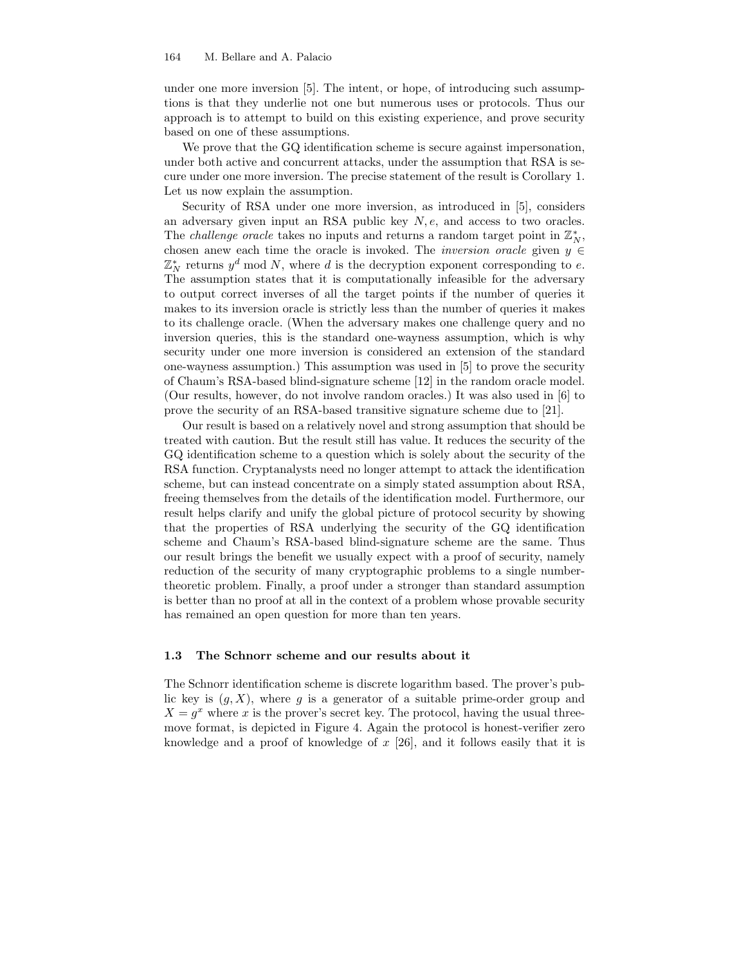under one more inversion [5]. The intent, or hope, of introducing such assumptions is that they underlie not one but numerous uses or protocols. Thus our approach is to attempt to build on this existing experience, and prove security based on one of these assumptions.

We prove that the GQ identification scheme is secure against impersonation, under both active and concurrent attacks, under the assumption that RSA is secure under one more inversion. The precise statement of the result is Corollary 1. Let us now explain the assumption.

Security of RSA under one more inversion, as introduced in [5], considers an adversary given input an RSA public key  $N, e$ , and access to two oracles. The *challenge oracle* takes no inputs and returns a random target point in  $\mathbb{Z}_N^*$ , chosen anew each time the oracle is invoked. The *inversion oracle* given  $y \in$  $\mathbb{Z}_N^*$  returns  $y^d$  mod N, where d is the decryption exponent corresponding to e. The assumption states that it is computationally infeasible for the adversary to output correct inverses of all the target points if the number of queries it makes to its inversion oracle is strictly less than the number of queries it makes to its challenge oracle. (When the adversary makes one challenge query and no inversion queries, this is the standard one-wayness assumption, which is why security under one more inversion is considered an extension of the standard one-wayness assumption.) This assumption was used in [5] to prove the security of Chaum's RSA-based blind-signature scheme [12] in the random oracle model. (Our results, however, do not involve random oracles.) It was also used in [6] to prove the security of an RSA-based transitive signature scheme due to [21].

Our result is based on a relatively novel and strong assumption that should be treated with caution. But the result still has value. It reduces the security of the GQ identification scheme to a question which is solely about the security of the RSA function. Cryptanalysts need no longer attempt to attack the identification scheme, but can instead concentrate on a simply stated assumption about RSA, freeing themselves from the details of the identification model. Furthermore, our result helps clarify and unify the global picture of protocol security by showing that the properties of RSA underlying the security of the GQ identification scheme and Chaum's RSA-based blind-signature scheme are the same. Thus our result brings the benefit we usually expect with a proof of security, namely reduction of the security of many cryptographic problems to a single numbertheoretic problem. Finally, a proof under a stronger than standard assumption is better than no proof at all in the context of a problem whose provable security has remained an open question for more than ten years.

#### 1.3 The Schnorr scheme and our results about it

The Schnorr identification scheme is discrete logarithm based. The prover's public key is  $(q, X)$ , where g is a generator of a suitable prime-order group and  $X = g^x$  where x is the prover's secret key. The protocol, having the usual threemove format, is depicted in Figure 4. Again the protocol is honest-verifier zero knowledge and a proof of knowledge of  $x$  [26], and it follows easily that it is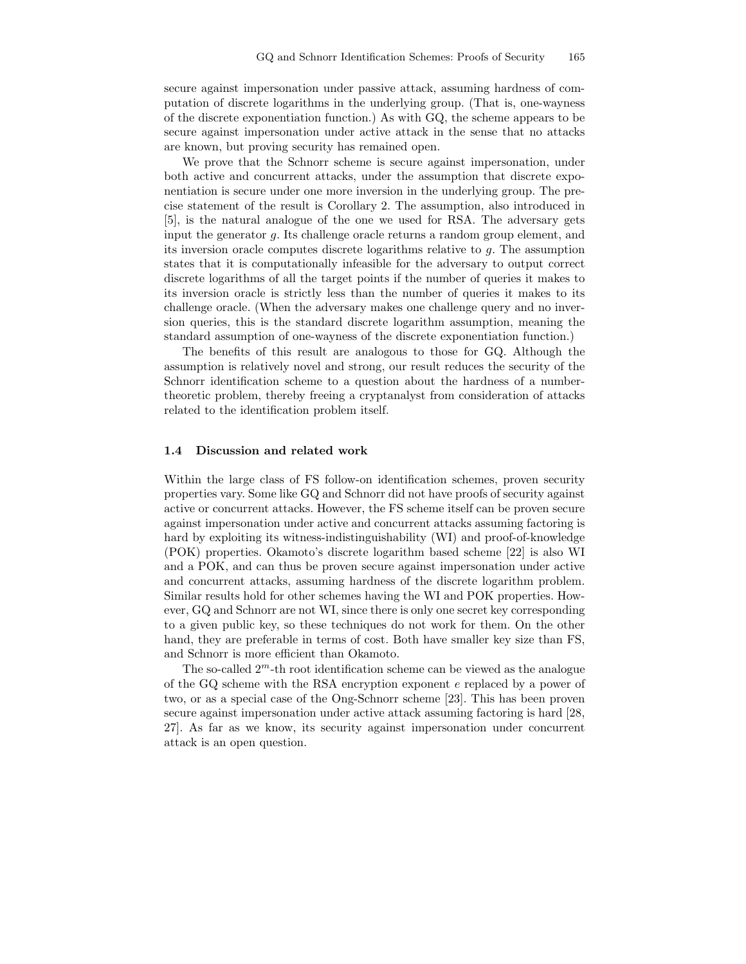secure against impersonation under passive attack, assuming hardness of computation of discrete logarithms in the underlying group. (That is, one-wayness of the discrete exponentiation function.) As with GQ, the scheme appears to be secure against impersonation under active attack in the sense that no attacks are known, but proving security has remained open.

We prove that the Schnorr scheme is secure against impersonation, under both active and concurrent attacks, under the assumption that discrete exponentiation is secure under one more inversion in the underlying group. The precise statement of the result is Corollary 2. The assumption, also introduced in [5], is the natural analogue of the one we used for RSA. The adversary gets input the generator g. Its challenge oracle returns a random group element, and its inversion oracle computes discrete logarithms relative to  $q$ . The assumption states that it is computationally infeasible for the adversary to output correct discrete logarithms of all the target points if the number of queries it makes to its inversion oracle is strictly less than the number of queries it makes to its challenge oracle. (When the adversary makes one challenge query and no inversion queries, this is the standard discrete logarithm assumption, meaning the standard assumption of one-wayness of the discrete exponentiation function.)

The benefits of this result are analogous to those for GQ. Although the assumption is relatively novel and strong, our result reduces the security of the Schnorr identification scheme to a question about the hardness of a numbertheoretic problem, thereby freeing a cryptanalyst from consideration of attacks related to the identification problem itself.

#### 1.4 Discussion and related work

Within the large class of FS follow-on identification schemes, proven security properties vary. Some like GQ and Schnorr did not have proofs of security against active or concurrent attacks. However, the FS scheme itself can be proven secure against impersonation under active and concurrent attacks assuming factoring is hard by exploiting its witness-indistinguishability (WI) and proof-of-knowledge (POK) properties. Okamoto's discrete logarithm based scheme [22] is also WI and a POK, and can thus be proven secure against impersonation under active and concurrent attacks, assuming hardness of the discrete logarithm problem. Similar results hold for other schemes having the WI and POK properties. However, GQ and Schnorr are not WI, since there is only one secret key corresponding to a given public key, so these techniques do not work for them. On the other hand, they are preferable in terms of cost. Both have smaller key size than FS, and Schnorr is more efficient than Okamoto.

The so-called  $2^m$ -th root identification scheme can be viewed as the analogue of the GQ scheme with the RSA encryption exponent e replaced by a power of two, or as a special case of the Ong-Schnorr scheme [23]. This has been proven secure against impersonation under active attack assuming factoring is hard [28, 27]. As far as we know, its security against impersonation under concurrent attack is an open question.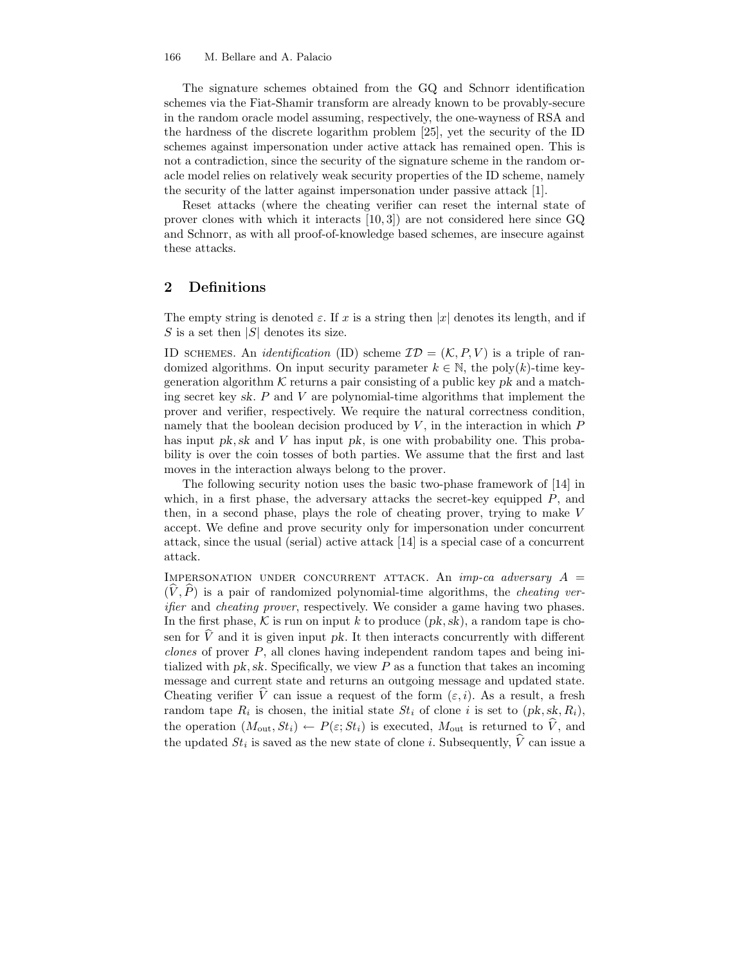The signature schemes obtained from the GQ and Schnorr identification schemes via the Fiat-Shamir transform are already known to be provably-secure in the random oracle model assuming, respectively, the one-wayness of RSA and the hardness of the discrete logarithm problem [25], yet the security of the ID schemes against impersonation under active attack has remained open. This is not a contradiction, since the security of the signature scheme in the random oracle model relies on relatively weak security properties of the ID scheme, namely the security of the latter against impersonation under passive attack [1].

Reset attacks (where the cheating verifier can reset the internal state of prover clones with which it interacts [10, 3]) are not considered here since GQ and Schnorr, as with all proof-of-knowledge based schemes, are insecure against these attacks.

# 2 Definitions

The empty string is denoted  $\varepsilon$ . If x is a string then |x| denotes its length, and if S is a set then  $|S|$  denotes its size.

ID schemes. An *identification* (ID) scheme  $\mathcal{ID} = (K, P, V)$  is a triple of randomized algorithms. On input security parameter  $k \in \mathbb{N}$ , the poly $(k)$ -time keygeneration algorithm  $K$  returns a pair consisting of a public key pk and a matching secret key sk.  $P$  and  $V$  are polynomial-time algorithms that implement the prover and verifier, respectively. We require the natural correctness condition, namely that the boolean decision produced by  $V$ , in the interaction in which  $P$ has input  $pk, sk$  and  $V$  has input  $pk$ , is one with probability one. This probability is over the coin tosses of both parties. We assume that the first and last moves in the interaction always belong to the prover.

The following security notion uses the basic two-phase framework of [14] in which, in a first phase, the adversary attacks the secret-key equipped  $P$ , and then, in a second phase, plays the role of cheating prover, trying to make V accept. We define and prove security only for impersonation under concurrent attack, since the usual (serial) active attack [14] is a special case of a concurrent attack.

IMPERSONATION UNDER CONCURRENT ATTACK. An *imp-ca adversary*  $A =$  $(V, P)$  is a pair of randomized polynomial-time algorithms, the *cheating ver*ifier and cheating prover, respectively. We consider a game having two phases. In the first phase,  $K$  is run on input k to produce  $(pk, sk)$ , a random tape is chosen for  $\hat{V}$  and it is given input pk. It then interacts concurrently with different *clones* of prover  $P$ , all clones having independent random tapes and being initialized with  $pk, sk$ . Specifically, we view  $P$  as a function that takes an incoming message and current state and returns an outgoing message and updated state. Cheating verifier  $\hat{V}$  can issue a request of the form  $(\varepsilon, i)$ . As a result, a fresh random tape  $R_i$  is chosen, the initial state  $St_i$  of clone i is set to  $(pk, sk, R_i)$ , the operation  $(M_{\text{out}}, St_i) \leftarrow P(\varepsilon; St_i)$  is executed,  $M_{\text{out}}$  is returned to  $\hat{V}$ , and the updated  $St_i$  is saved as the new state of clone *i*. Subsequently,  $V$  can issue a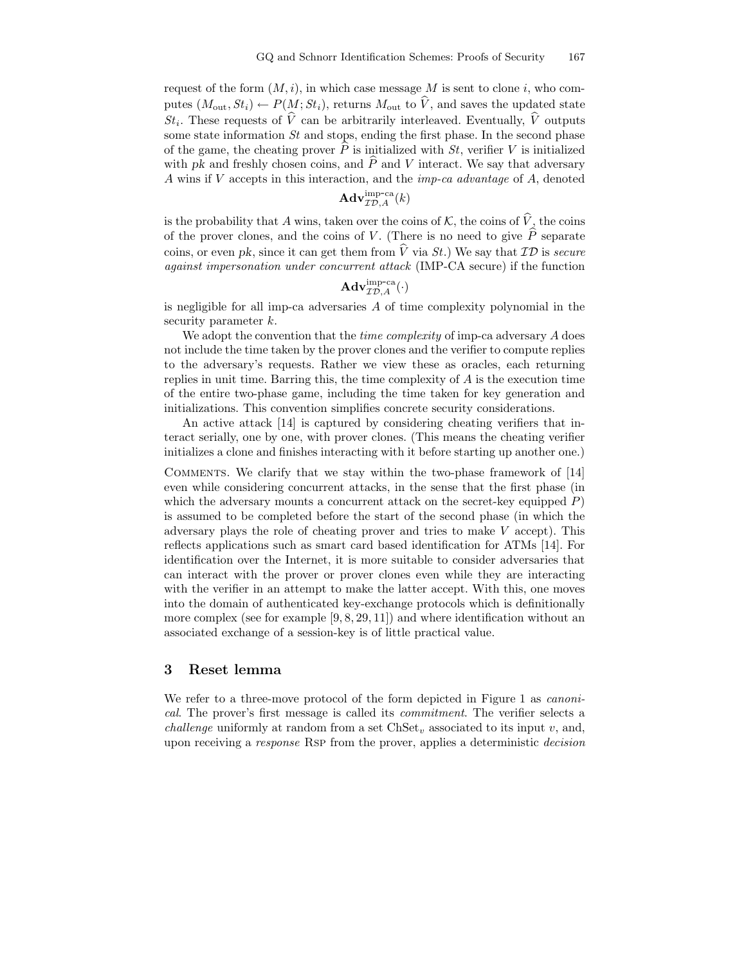request of the form  $(M,i)$ , in which case message M is sent to clone i, who computes  $(M_{\text{out}}, St_i) \leftarrow P(M; St_i)$ , returns  $M_{\text{out}}$  to  $\hat{V}$ , and saves the updated state  $St_i$ . These requests of V can be arbitrarily interleaved. Eventually, V outputs some state information  $St$  and stops, ending the first phase. In the second phase of the game, the cheating prover  $\hat{P}$  is initialized with St, verifier V is initialized with pk and freshly chosen coins, and  $\widehat{P}$  and V interact. We say that adversary A wins if V accepts in this interaction, and the imp-ca advantage of A, denoted

 $\mathbf{Adv}_{\mathcal{ID},A}^{\text{imp-ca}}(k)$ 

is the probability that A wins, taken over the coins of  $K$ , the coins of  $\hat{V}$ , the coins of the prover clones, and the coins of V. (There is no need to give  $\widehat{P}$  separate coins, or even pk, since it can get them from  $\hat{V}$  via  $St$ .) We say that  $\mathcal{ID}$  is secure against impersonation under concurrent attack (IMP-CA secure) if the function

$$
\mathbf{Adv}^{\mathrm{imp-ca}}_{\mathcal{ID}, A}(\cdot)
$$

is negligible for all imp-ca adversaries A of time complexity polynomial in the security parameter k.

We adopt the convention that the *time complexity* of imp-ca adversary A does not include the time taken by the prover clones and the verifier to compute replies to the adversary's requests. Rather we view these as oracles, each returning replies in unit time. Barring this, the time complexity of  $A$  is the execution time of the entire two-phase game, including the time taken for key generation and initializations. This convention simplifies concrete security considerations.

An active attack [14] is captured by considering cheating verifiers that interact serially, one by one, with prover clones. (This means the cheating verifier initializes a clone and finishes interacting with it before starting up another one.)

Comments. We clarify that we stay within the two-phase framework of [14] even while considering concurrent attacks, in the sense that the first phase (in which the adversary mounts a concurrent attack on the secret-key equipped  $P$ ) is assumed to be completed before the start of the second phase (in which the adversary plays the role of cheating prover and tries to make V accept). This reflects applications such as smart card based identification for ATMs [14]. For identification over the Internet, it is more suitable to consider adversaries that can interact with the prover or prover clones even while they are interacting with the verifier in an attempt to make the latter accept. With this, one moves into the domain of authenticated key-exchange protocols which is definitionally more complex (see for example [9, 8, 29, 11]) and where identification without an associated exchange of a session-key is of little practical value.

## 3 Reset lemma

We refer to a three-move protocol of the form depicted in Figure 1 as *canoni*cal. The prover's first message is called its commitment. The verifier selects a *challenge* uniformly at random from a set  $\text{ChSet}_v$  associated to its input v, and, upon receiving a response Rsp from the prover, applies a deterministic decision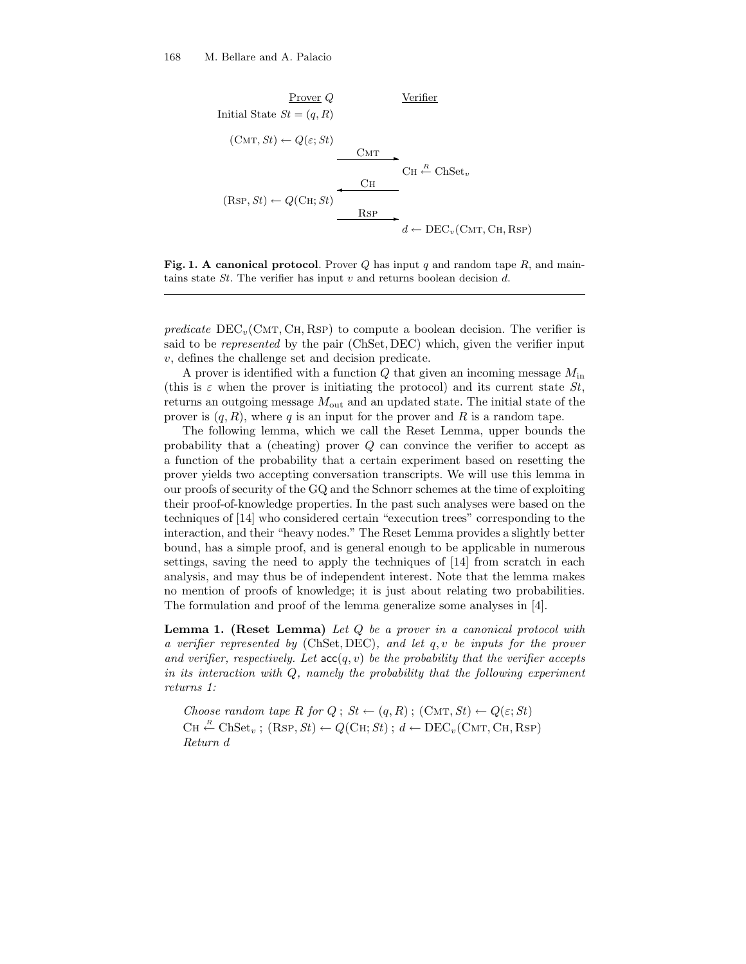

Fig. 1. A canonical protocol. Prover  $Q$  has input  $q$  and random tape  $R$ , and maintains state  $St$ . The verifier has input  $v$  and returns boolean decision  $d$ .

predicate  $DEC_v(CMT, CH, Rsp)$  to compute a boolean decision. The verifier is said to be represented by the pair (ChSet, DEC) which, given the verifier input v, defines the challenge set and decision predicate.

A prover is identified with a function  $Q$  that given an incoming message  $M_{\text{in}}$ (this is  $\varepsilon$  when the prover is initiating the protocol) and its current state  $St$ , returns an outgoing message  $M_{\text{out}}$  and an updated state. The initial state of the prover is  $(q, R)$ , where q is an input for the prover and R is a random tape.

The following lemma, which we call the Reset Lemma, upper bounds the probability that a (cheating) prover Q can convince the verifier to accept as a function of the probability that a certain experiment based on resetting the prover yields two accepting conversation transcripts. We will use this lemma in our proofs of security of the GQ and the Schnorr schemes at the time of exploiting their proof-of-knowledge properties. In the past such analyses were based on the techniques of [14] who considered certain "execution trees" corresponding to the interaction, and their "heavy nodes." The Reset Lemma provides a slightly better bound, has a simple proof, and is general enough to be applicable in numerous settings, saving the need to apply the techniques of [14] from scratch in each analysis, and may thus be of independent interest. Note that the lemma makes no mention of proofs of knowledge; it is just about relating two probabilities. The formulation and proof of the lemma generalize some analyses in [4].

Lemma 1. (Reset Lemma) Let Q be a prover in a canonical protocol with a verifier represented by  $(ChSet, DEC)$ , and let  $q, v$  be inputs for the prover and verifier, respectively. Let  $\operatorname{acc}(q, v)$  be the probability that the verifier accepts in its interaction with  $Q$ , namely the probability that the following experiment returns 1:

Choose random tape R for  $Q$ ;  $St \leftarrow (q, R)$ ;  $(\text{CMT}, St) \leftarrow Q(\varepsilon; St)$  $\text{CH} \stackrel{R}{\leftarrow} \text{ChSet}_v$ ;  $(\text{RSP}, St) \leftarrow Q(\text{CH}; St)$ ;  $d \leftarrow \text{DEC}_v(\text{CMT}, \text{CH}, \text{RSP})$ Return d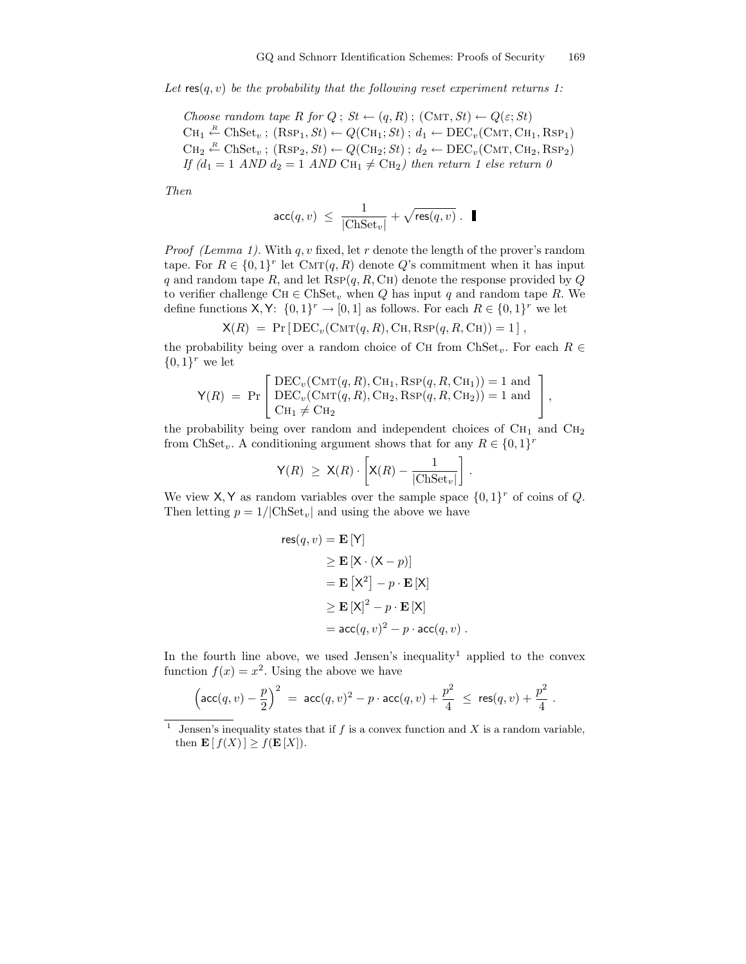Let  $res(q, v)$  be the probability that the following reset experiment returns 1:

Choose random tape R for  $Q$ ;  $St \leftarrow (q, R)$ ;  $(\text{CMT}, St) \leftarrow Q(\varepsilon; St)$  $\text{CH}_1 \stackrel{R}{\leftarrow} \text{ChSet}_v$ ;  $(\text{RSP}_1, St) \leftarrow Q(\text{CH}_1; St)$ ;  $d_1 \leftarrow \text{DEC}_v(\text{CMT}, \text{CH}_1, \text{RSP}_1)$  $\text{CH}_2 \stackrel{R}{\leftarrow} \text{ChSet}_v$ ;  $(\text{RSP}_2, St) \leftarrow Q(\text{CH}_2; St)$ ;  $d_2 \leftarrow \text{DEC}_v(\text{CMT}, \text{CH}_2, \text{RSP}_2)$ If  $(d_1 = 1 \text{ AND } d_2 = 1 \text{ AND } CH_1 \neq CH_2)$  then return 1 else return 0

Then

$$
\mathsf{acc}(q,v) \ \leq \ \frac{1}{|\mathsf{ChSet}_v|} + \sqrt{\mathsf{res}(q,v)} \ . \ \blacksquare
$$

*Proof (Lemma 1).* With q, v fixed, let r denote the length of the prover's random tape. For  $R \in \{0,1\}^r$  let  $\text{CMT}(q, R)$  denote Q's commitment when it has input q and random tape R, and let  $RSP(q, R, CH)$  denote the response provided by Q to verifier challenge  $\text{CH} \in \text{ChSet}_v$  when Q has input q and random tape R. We define functions  $X, Y: \{0, 1\}^r \to [0, 1]$  as follows. For each  $R \in \{0, 1\}^r$  we let

$$
\mathsf{X}(R) = \Pr[\text{DEC}_v(\text{CMT}(q, R), \text{CH}, \text{RSP}(q, R, \text{CH})) = 1],
$$

the probability being over a random choice of CH from  $ChSet_v$ . For each  $R \in$  $\{0,1\}^r$  we let

$$
\mathsf{Y}(R) \; = \; \Pr \left[ \begin{array}{l} \mathrm{DEC}_v(\mathrm{CMT}(q,R),\mathrm{CH}_1,\mathrm{RSP}(q,R,\mathrm{CH}_1)) = 1 \text{ and } \\ \mathrm{DEC}_v(\mathrm{CMT}(q,R),\mathrm{CH}_2,\mathrm{RSP}(q,R,\mathrm{CH}_2)) = 1 \text{ and } \\ \mathrm{CH}_1 \neq \mathrm{CH}_2 \end{array} \right],
$$

the probability being over random and independent choices of  $\rm CH_{1}$  and  $\rm CH_{2}$ from ChSet<sub>v</sub>. A conditioning argument shows that for any  $R \in \{0, 1\}^r$ 

$$
\mathsf{Y}(R) \geq \mathsf{X}(R) \cdot \left[ \mathsf{X}(R) - \frac{1}{|\text{ChSet}_v|} \right].
$$

We view  $X, Y$  as random variables over the sample space  $\{0, 1\}^r$  of coins of  $Q$ . Then letting  $p = 1/|\text{ChSet}_v|$  and using the above we have

$$
\begin{aligned} \text{res}(q, v) &= \mathbf{E} \left[ Y \right] \\ &\geq \mathbf{E} \left[ X \cdot (X - p) \right] \\ &= \mathbf{E} \left[ X^2 \right] - p \cdot \mathbf{E} \left[ X \right] \\ &\geq \mathbf{E} \left[ X \right]^2 - p \cdot \mathbf{E} \left[ X \right] \\ &= \text{acc}(q, v)^2 - p \cdot \text{acc}(q, v) \end{aligned}
$$

In the fourth line above, we used Jensen's inequality<sup>1</sup> applied to the convex function  $f(x) = x^2$ . Using the above we have

$$
\left(\mathrm{acc}(q,v)-\frac{p}{2}\right)^2\;=\;\mathrm{acc}(q,v)^2-p\cdot\mathrm{acc}(q,v)+\frac{p^2}{4}\;\leq\;\mathrm{res}(q,v)+\frac{p^2}{4}\;.
$$

<sup>1</sup> Jensen's inequality states that if  $f$  is a convex function and  $X$  is a random variable, then  $\mathbf{E}[f(X)] \geq f(\mathbf{E}[X]).$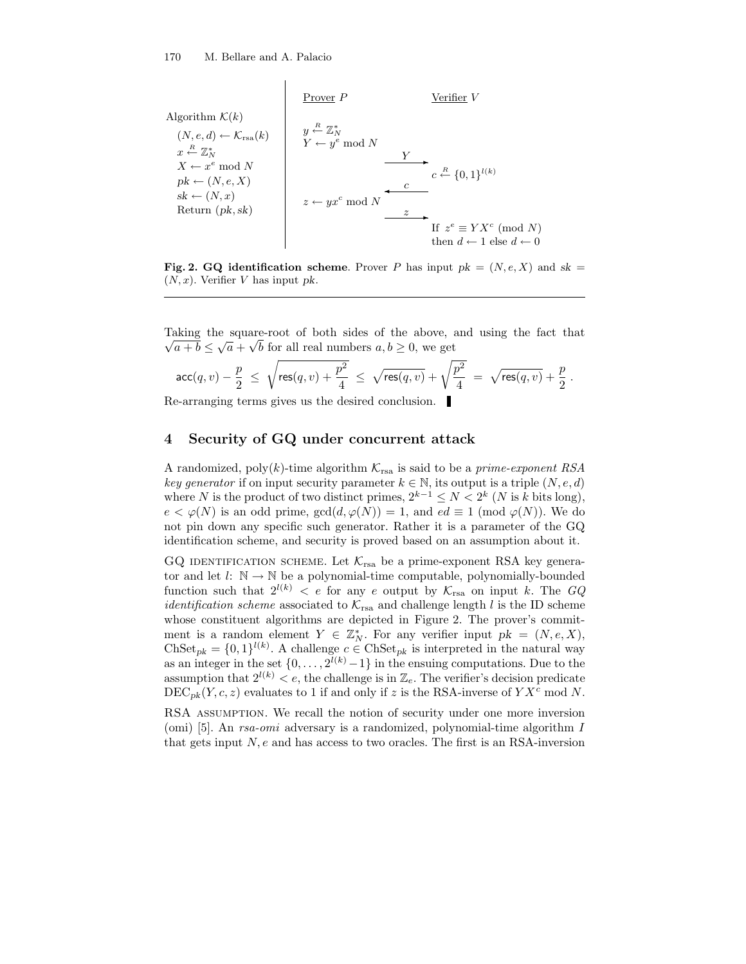Algorithm 
$$
K(k)
$$
  
\n
$$
(N, e, d) \leftarrow K_{\text{rsa}}(k)
$$
\n
$$
x \stackrel{R}{\leftarrow} \mathbb{Z}_N^*
$$
\n
$$
X \leftarrow x^e \mod N
$$
\n
$$
pk \leftarrow (N, e, X)
$$
\n
$$
sk \leftarrow (N, x)
$$
\n
$$
z \leftarrow yx^c \mod N
$$
\n
$$
z \leftarrow yx^c \mod N
$$
\n
$$
z \leftarrow yx^c \mod N
$$
\n
$$
z \leftarrow yx^c \mod N
$$
\n
$$
z \leftarrow yx^c \mod N
$$
\n
$$
z \leftarrow yx^c \mod N
$$
\n
$$
z \leftarrow x^e \equiv YX^c \pmod N
$$
\n
$$
z \leftarrow 1 \text{ else } d \leftarrow 0
$$

Fig. 2. GQ identification scheme. Prover P has input  $pk = (N, e, X)$  and  $sk =$  $(N, x)$ . Verifier V has input pk.

T aking the square-root of both sides of the above, and using the fact that  $\sqrt{a+b} \leq \sqrt{a} + \sqrt{b}$  for all real numbers  $a, b \geq 0$ , we get

$$
\mathrm{acc}(q,v) - \frac{p}{2} ~\leq~ \sqrt{\mathrm{res}(q,v) + \frac{p^2}{4}} ~\leq~ \sqrt{\mathrm{res}(q,v)} + \sqrt{\frac{p^2}{4}} ~=~ \sqrt{\mathrm{res}(q,v)} + \frac{p}{2}{\,}.
$$

Re-arranging terms gives us the desired conclusion.

#### 4 Security of GQ under concurrent attack

A randomized, poly $(k)$ -time algorithm  $\mathcal{K}_{\text{rsa}}$  is said to be a prime-exponent RSA key generator if on input security parameter  $k \in \mathbb{N}$ , its output is a triple  $(N, e, d)$ where N is the product of two distinct primes,  $2^{k-1} \leq N < 2^k$  (N is k bits long),  $e < \varphi(N)$  is an odd prime,  $gcd(d, \varphi(N)) = 1$ , and  $ed \equiv 1 \pmod{\varphi(N)}$ . We do not pin down any specific such generator. Rather it is a parameter of the GQ identification scheme, and security is proved based on an assumption about it.

GQ IDENTIFICATION SCHEME. Let  $\mathcal{K}_{\text{rsa}}$  be a prime-exponent RSA key generator and let  $l: \mathbb{N} \to \mathbb{N}$  be a polynomial-time computable, polynomially-bounded function such that  $2^{l(k)} < e$  for any e output by  $\mathcal{K}_{\text{rsa}}$  on input k. The GQ *identification scheme* associated to  $K_{\text{rsa}}$  and challenge length l is the ID scheme whose constituent algorithms are depicted in Figure 2. The prover's commitment is a random element  $Y \in \mathbb{Z}_N^*$ . For any verifier input  $pk = (N, e, X)$ , ChSet<sub>pk</sub> =  $\{0,1\}^{l(k)}$ . A challenge  $c \in \text{ChSet}_{pk}$  is interpreted in the natural way as an integer in the set  $\{0, \ldots, 2^{l(k)}-1\}$  in the ensuing computations. Due to the assumption that  $2^{l(k)} < e$ , the challenge is in  $\mathbb{Z}_e$ . The verifier's decision predicate  $DEC_{pk}(Y, c, z)$  evaluates to 1 if and only if z is the RSA-inverse of  $YX<sup>c</sup>$  mod N.

RSA assumption. We recall the notion of security under one more inversion (omi) [5]. An rsa-omi adversary is a randomized, polynomial-time algorithm I that gets input  $N$ ,  $e$  and has access to two oracles. The first is an RSA-inversion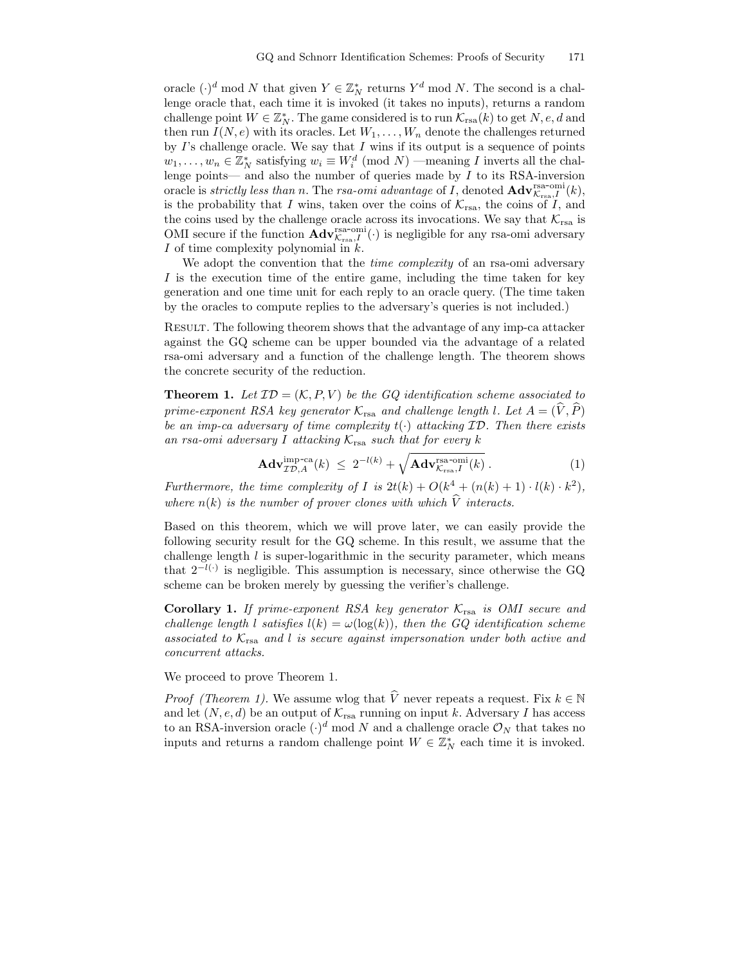oracle  $(\cdot)^d$  mod N that given  $Y \in \mathbb{Z}_N^*$  returns  $Y^d$  mod N. The second is a challenge oracle that, each time it is invoked (it takes no inputs), returns a random challenge point  $W \in \mathbb{Z}_N^*$ . The game considered is to run  $\mathcal{K}_{\text{rsa}}(k)$  to get  $N, e, d$  and then run  $I(N, e)$  with its oracles. Let  $W_1, \ldots, W_n$  denote the challenges returned by  $I$ 's challenge oracle. We say that  $I$  wins if its output is a sequence of points  $w_1, \ldots, w_n \in \mathbb{Z}_N^*$  satisfying  $w_i \equiv W_i^d \pmod{N}$  —meaning I inverts all the challenge points— and also the number of queries made by  $I$  to its RSA-inversion oracle is *strictly less than n*. The *rsa-omi advantage* of *I*, denoted  $\mathbf{Adv}_{\mathcal{K}_{\text{rsa}},I}^{\text{rsa-omi}}(k)$ , is the probability that I wins, taken over the coins of  $\mathcal{K}_{\text{rsa}}$ , the coins of I, and the coins used by the challenge oracle across its invocations. We say that  $\mathcal{K}_{\mathrm{rsa}}$  is OMI secure if the function  $\mathbf{Adv}_{\mathcal{K}_{\text{rsa}},I}^{\text{rsa-omi}}(\cdot)$  is negligible for any rsa-omi adversary I of time complexity polynomial in  $k$ .

We adopt the convention that the *time complexity* of an rsa-omi adversary I is the execution time of the entire game, including the time taken for key generation and one time unit for each reply to an oracle query. (The time taken by the oracles to compute replies to the adversary's queries is not included.)

Result. The following theorem shows that the advantage of any imp-ca attacker against the GQ scheme can be upper bounded via the advantage of a related rsa-omi adversary and a function of the challenge length. The theorem shows the concrete security of the reduction.

**Theorem 1.** Let  $\mathcal{ID} = (K, P, V)$  be the GQ identification scheme associated to prime-exponent RSA key generator  $\mathcal{K}_{\text{rsa}}$  and challenge length l. Let  $A = (\dot{V}, \dot{P})$ be an imp-ca adversary of time complexity  $t(\cdot)$  attacking  $ID$ . Then there exists an rsa-omi adversary I attacking  $\mathcal{K}_{\text{rsa}}$  such that for every k

$$
\mathbf{Adv}_{\mathcal{ID},A}^{\text{imp-ca}}(k) \ \leq \ 2^{-l(k)} + \sqrt{\mathbf{Adv}_{\mathcal{K}_{\text{rsa}},I}^{\text{rsa-omi}}(k)} \ . \tag{1}
$$

Furthermore, the time complexity of I is  $2t(k) + O(k^4 + (n(k) + 1) \cdot l(k) \cdot k^2)$ , where  $n(k)$  is the number of prover clones with which  $\hat{V}$  interacts.

Based on this theorem, which we will prove later, we can easily provide the following security result for the GQ scheme. In this result, we assume that the challenge length  $l$  is super-logarithmic in the security parameter, which means that  $2^{-l(\cdot)}$  is negligible. This assumption is necessary, since otherwise the GQ scheme can be broken merely by guessing the verifier's challenge.

**Corollary 1.** If prime-exponent RSA key generator  $K_{\text{rsa}}$  is OMI secure and challenge length l satisfies  $l(k) = \omega(\log(k))$ , then the GQ identification scheme associated to  $K_{\text{rsa}}$  and l is secure against impersonation under both active and concurrent attacks.

We proceed to prove Theorem 1.

*Proof (Theorem 1).* We assume wlog that  $\hat{V}$  never repeats a request. Fix  $k \in \mathbb{N}$ and let  $(N, e, d)$  be an output of  $\mathcal{K}_{\text{rsa}}$  running on input k. Adversary I has access to an RSA-inversion oracle  $(\cdot)^d$  mod N and a challenge oracle  $\mathcal{O}_N$  that takes no inputs and returns a random challenge point  $W \in \mathbb{Z}_N^*$  each time it is invoked.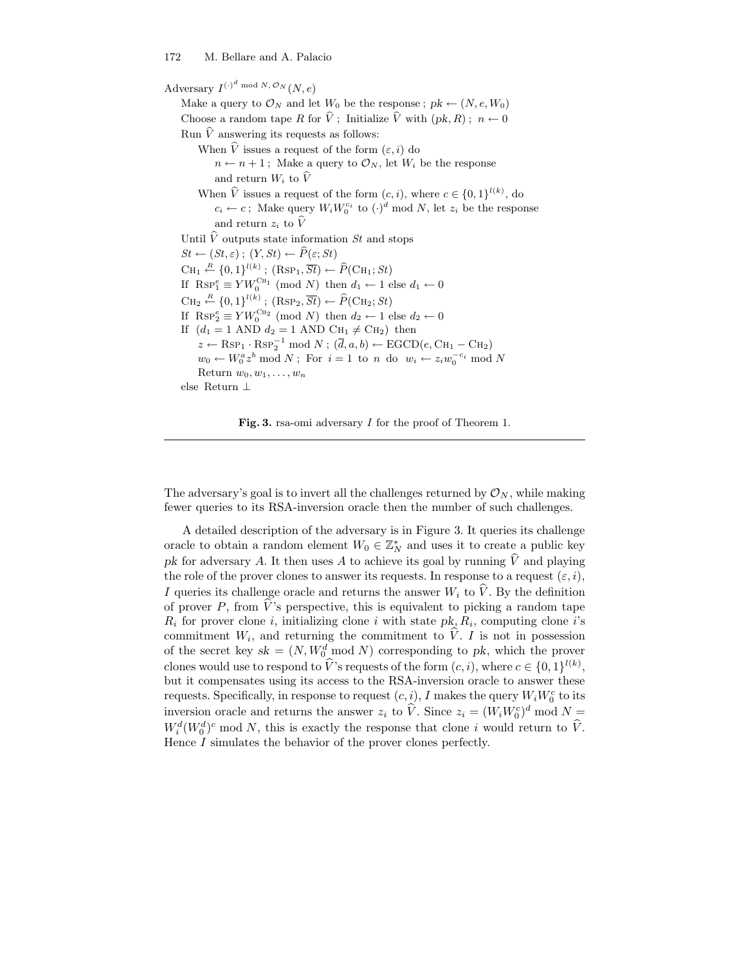#### 172 M. Bellare and A. Palacio

Adversary  $I^{(\cdot)^d \bmod N, \mathcal{O}_N}(N,e)$ 

Make a query to  $\mathcal{O}_N$  and let  $W_0$  be the response;  $pk \leftarrow (N, e, W_0)$ Choose a random tape R for  $\hat{V}$ ; Initialize  $\hat{V}$  with (pk, R);  $n \leftarrow 0$ Run  $\hat{V}$  answering its requests as follows:

When  $\widehat{V}$  issues a request of the form  $(\varepsilon, i)$  do  $n \leftarrow n + 1$ ; Make a query to  $\mathcal{O}_N$ , let  $W_i$  be the response and return  $W_i$  to  $\hat{V}$ When  $\hat{V}$  issues a request of the form  $(c, i)$ , where  $c \in \{0, 1\}^{l(k)}$ , do  $c_i \leftarrow c$ ; Make query  $W_i W_0^{c_i}$  to  $(\cdot)^d$  mod N, let  $z_i$  be the response and return  $z_i$  to  $\hat{V}$ Until  $\hat{V}$  outputs state information St and stops  $St \leftarrow (St, \varepsilon)$ ;  $(Y, St) \leftarrow \widehat{P}(\varepsilon; St)$  $\mathrm{CH}_1 \xleftarrow{R} \{0,1\}^{l(k)}$ ;  $(\mathrm{RSP}_1, \overline{St}) \leftarrow \widehat{P}(\mathrm{CH}_1; St)$ If  $\text{RSP}_1^e \equiv YW_0^{\text{CH}_1} \pmod{N}$  then  $d_1 \leftarrow 1$  else  $d_1 \leftarrow 0$  $\mathrm{CH}_2 \xleftarrow{R} \{0,1\}^{l(k)}$ ;  $(\mathrm{RSP}_2, \overline{St}) \leftarrow \widehat{P}(\mathrm{CH}_2; St)$ If  $\text{RSP}_2^e \equiv YW_0^{\text{CH}_2} \pmod{N}$  then  $d_2 \leftarrow 1$  else  $d_2 \leftarrow 0$ If  $(d_1 = 1 \text{ AND } d_2 = 1 \text{ AND } \text{CH}_1 \neq \text{CH}_2)$  then  $z \leftarrow \text{RSP}_1 \cdot \text{RSP}_2^{-1} \text{ mod } N$ ; ( $\overline{d}, a, b$ ) ← EGCD( $e$ , CH<sub>1</sub> – CH<sub>2</sub>)  $w_0 \leftarrow W_0^a z^b \mod N$ ; For  $i = 1$  to n do  $w_i \leftarrow z_i w_0^{-c_i} \mod N$ Return  $w_0, w_1, \ldots, w_n$ else Return ⊥

Fig. 3. rsa-omi adversary I for the proof of Theorem 1.

The adversary's goal is to invert all the challenges returned by  $\mathcal{O}_N$ , while making fewer queries to its RSA-inversion oracle then the number of such challenges.

A detailed description of the adversary is in Figure 3. It queries its challenge oracle to obtain a random element  $W_0 \in \mathbb{Z}_N^*$  and uses it to create a public key pk for adversary A. It then uses A to achieve its goal by running  $\hat{V}$  and playing the role of the prover clones to answer its requests. In response to a request  $(\varepsilon, i)$ , I queries its challenge oracle and returns the answer  $W_i$  to  $\hat{V}$ . By the definition of prover P, from  $\hat{V}$ 's perspective, this is equivalent to picking a random tape  $R_i$  for prover clone i, initializing clone i with state  $pk, R_i$ , computing clone i's commitment  $W_i$ , and returning the commitment to  $V$ . I is not in possession of the secret key  $sk = (N, W_0^d \mod N)$  corresponding to pk, which the prover clones would use to respond to  $\hat{V}$ 's requests of the form  $(c, i)$ , where  $c \in \{0, 1\}^{l(k)}$ , but it compensates using its access to the RSA-inversion oracle to answer these requests. Specifically, in response to request  $(c, i)$ , I makes the query  $W_i W_0^c$  to its inversion oracle and returns the answer  $z_i$  to  $\hat{V}$ . Since  $z_i = (W_i W_0^c)^d \mod N =$  $W_i^d(W_0^d)^c$  mod N, this is exactly the response that clone i would return to  $\hat{V}$ . Hence I simulates the behavior of the prover clones perfectly.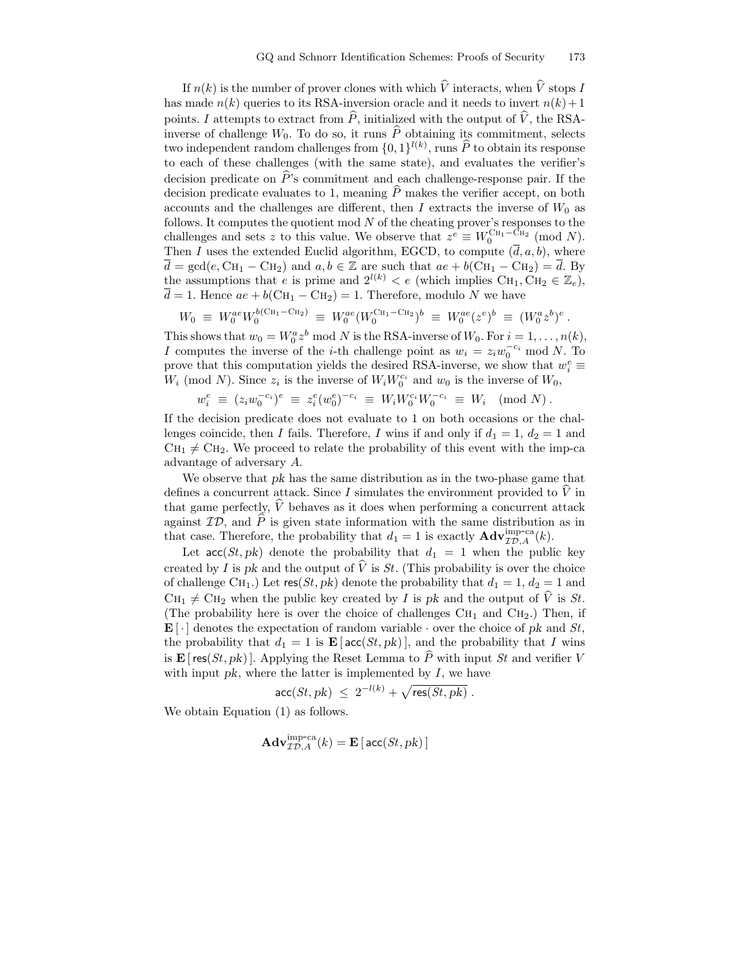If  $n(k)$  is the number of prover clones with which  $\hat{V}$  interacts, when  $\hat{V}$  stops I has made  $n(k)$  queries to its RSA-inversion oracle and it needs to invert  $n(k)+1$ points. I attempts to extract from  $\widehat{P}$ , initialized with the output of  $\widehat{V}$ , the RSAinverse of challenge  $W_0$ . To do so, it runs  $\hat{P}$  obtaining its commitment, selects two independent random challenges from  $\{0,1\}^{l(k)}$ , runs  $\widehat{P}$  to obtain its response to each of these challenges (with the same state), and evaluates the verifier's decision predicate on  $\hat{P}$ 's commitment and each challenge-response pair. If the decision predicate evaluates to 1, meaning  $\hat{P}$  makes the verifier accept, on both accounts and the challenges are different, then I extracts the inverse of  $W_0$  as follows. It computes the quotient mod  $N$  of the cheating prover's responses to the challenges and sets z to this value. We observe that  $z^e \equiv W_0^{\text{CH}_1-\text{CH}_2} \pmod{N}$ . Then I uses the extended Euclid algorithm, EGCD, to compute  $(\overline{d}, a, b)$ , where  $d = \gcd(e, \text{CH}_1 - \text{CH}_2)$  and  $a, b \in \mathbb{Z}$  are such that  $ae + b(\text{CH}_1 - \text{CH}_2) = d$ . By the assumptions that e is prime and  $2^{l(k)} < e$  (which implies  $\text{CH}_1, \text{CH}_2 \in \mathbb{Z}_e$ ),  $d = 1$ . Hence  $ae + b$ (C<sub>H<sub>1</sub></sub> – C<sub>H<sub>2</sub>) = 1. Therefore, modulo N we have</sub>

$$
W_0 \,\,\equiv\,\,W_0^{ae}W_0^{b({\rm CH}_1-{\rm CH}_2)} \,\,\equiv\,\,W_0^{ae}(W_0^{\rm CH_1-CH_2})^b \,\,\equiv\,\,W_0^{ae}(z^e)^b \,\,\equiv\,\, (W_0^a z^b)^e \;.
$$

This shows that  $w_0 = W_0^a z^b \mod N$  is the RSA-inverse of  $W_0$ . For  $i = 1, ..., n(k)$ , I computes the inverse of the *i*-th challenge point as  $w_i = z_i w_0^{-c_i} \mod N$ . To prove that this computation yields the desired RSA-inverse, we show that  $w_i^e \equiv$  $W_i \pmod{N}$ . Since  $z_i$  is the inverse of  $W_i W_0^{c_i}$  and  $w_0$  is the inverse of  $W_0$ ,

$$
w_i^e \equiv (z_i w_0^{-c_i})^e \equiv z_i^e (w_0^e)^{-c_i} \equiv W_i W_0^{c_i} W_0^{-c_i} \equiv W_i \pmod{N}.
$$

If the decision predicate does not evaluate to 1 on both occasions or the challenges coincide, then I fails. Therefore, I wins if and only if  $d_1 = 1$ ,  $d_2 = 1$  and  $CH_1 \neq CH_2$ . We proceed to relate the probability of this event with the imp-ca advantage of adversary A.

We observe that pk has the same distribution as in the two-phase game that defines a concurrent attack. Since I simulates the environment provided to  $\widehat{V}$  in that game perfectly,  $\hat{V}$  behaves as it does when performing a concurrent attack against  $\mathcal{ID}$ , and  $\hat{P}$  is given state information with the same distribution as in that case. Therefore, the probability that  $d_1 = 1$  is exactly  $\mathbf{Adv}_{\mathcal{ID},A}^{\text{imp-ca}}(k)$ .

Let  $\operatorname{acc}(St, pk)$  denote the probability that  $d_1 = 1$  when the public key created by I is pk and the output of  $\hat{V}$  is St. (This probability is over the choice of challenge CH<sub>1</sub>.) Let  $res(St, pk)$  denote the probability that  $d_1 = 1, d_2 = 1$  and  $\text{CH}_1 \neq \text{CH}_2$  when the public key created by I is pk and the output of  $\hat{V}$  is St. (The probability here is over the choice of challenges  $\rm CH_1$  and  $\rm CH_2$ .) Then, if  $\mathbf{E}[\cdot]$  denotes the expectation of random variable  $\cdot$  over the choice of pk and  $St$ , the probability that  $d_1 = 1$  is  $\mathbf{E} [\text{acc}(St, pk)]$ , and the probability that I wins is **E** [res( $St, pk$ )]. Applying the Reset Lemma to  $\widehat{P}$  with input  $St$  and verifier V with input  $pk$ , where the latter is implemented by  $I$ , we have

$$
\mathsf{acc}(St, pk) \leq 2^{-l(k)} + \sqrt{\mathsf{res}(St, pk)} \ .
$$

We obtain Equation (1) as follows.

$$
\mathbf{Adv}_{\mathcal{ID},A}^{\text{imp-ca}}(k) = \mathbf{E}\left[\,\mathsf{acc}(St,pk)\,\right]
$$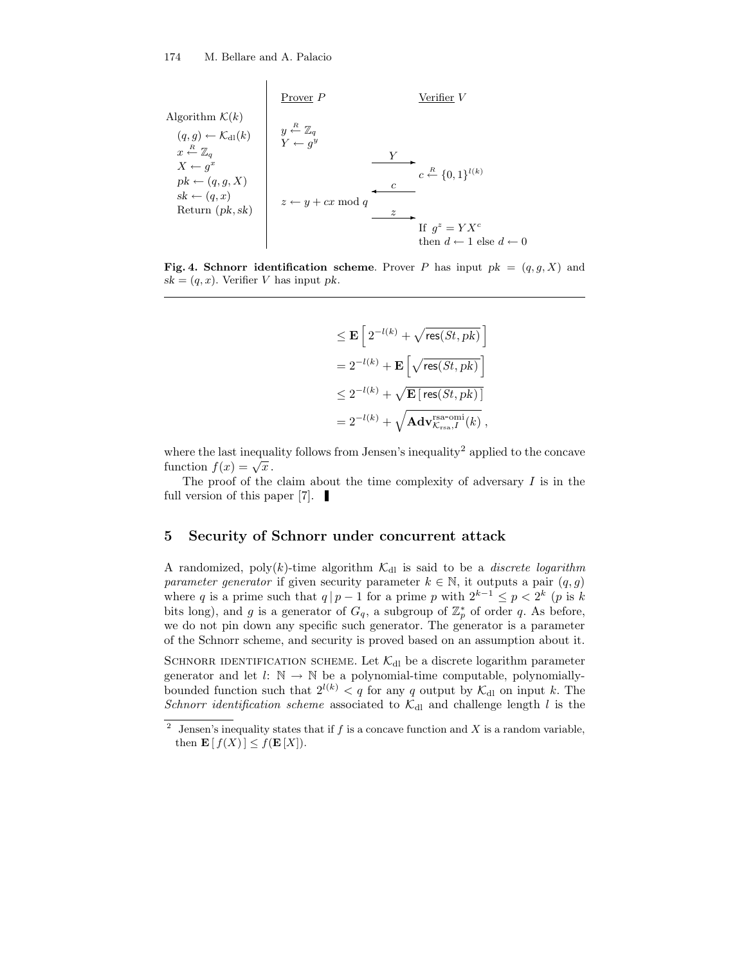$\overline{\phantom{a}}$ 

Algorithm 
$$
K(k)
$$
  
\n $(q, g) \leftarrow K_{\text{dl}}(k)$   
\n $x \stackrel{R}{\leftarrow} \mathbb{Z}_q$   
\n $X \leftarrow g^x$   
\n $pk \leftarrow (q, g, X)$   
\n $sk \leftarrow (q, x)$   
\nReturn  $(pk, sk)$   
\n $x \leftarrow y + cx \mod q$   
\n $y \stackrel{R}{\leftarrow} \mathbb{Z}_q$   
\n $y \leftarrow g^y$   
\n $y \leftarrow g^y$   
\n $y \leftarrow g^y$   
\n $y \leftarrow g^y$   
\n $y \leftarrow g^y$   
\n $y \leftarrow g^y$   
\n $y \leftarrow g^y$   
\n $y \leftarrow g^z$   
\n $y \leftarrow g^z$   
\n $y \leftarrow g^z$   
\n $y \leftarrow g^z$   
\n $y \leftarrow g^z$   
\n $y \leftarrow g^z$   
\n $y \leftarrow g^z$   
\n $y \leftarrow g^z$   
\n $y \leftarrow g^z$   
\n $y \leftarrow g^z$   
\n $y \leftarrow g^z$   
\n $y \leftarrow g^z$   
\n $y \leftarrow g^z$   
\n $y \leftarrow g^z$   
\n $y \leftarrow g^z$   
\n $y \leftarrow g^z$   
\n $y \leftarrow g^z$   
\n $y \leftarrow g^z$   
\n $y \leftarrow g^z$   
\n $y \leftarrow g^z$   
\n $y \leftarrow g^z$   
\n $y \leftarrow g^z$   
\n $y \leftarrow g^z$   
\n $y \leftarrow g^z$   
\n $y \leftarrow g^z$   
\n $y \leftarrow g^z$   
\n $y \leftarrow g^z$   
\n $y \leftarrow g^z$   
\n $y \leftarrow g^z$   
\n $y \leftarrow g^z$   
\n $y \leftarrow g^z$   
\n $y \leftarrow g^z$   
\n $y \leftarrow g^z$ 

Fig. 4. Schnorr identification scheme. Prover P has input  $pk = (q, q, X)$  and  $sk = (q, x)$ . Verifier V has input pk.

$$
\leq \mathbf{E}\left[2^{-l(k)} + \sqrt{\mathsf{res}(St, pk)}\right]
$$
  
=  $2^{-l(k)} + \mathbf{E}\left[\sqrt{\mathsf{res}(St, pk)}\right]$   
 $\leq 2^{-l(k)} + \sqrt{\mathbf{E}\left[\mathsf{res}(St, pk)\right]}$   
=  $2^{-l(k)} + \sqrt{\mathbf{Adv}_{\mathcal{K}_{\text{rsa}},I}^{\text{rsa}-\text{omi}}(k)},$ 

where the last inequality follows from Jensen's inequality<sup>2</sup> applied to the concave function  $f(x) = \sqrt{x}$ .

The proof of the claim about the time complexity of adversary  $I$  is in the full version of this paper [7].  $\blacksquare$ 

### 5 Security of Schnorr under concurrent attack

A randomized, poly $(k)$ -time algorithm  $\mathcal{K}_{dl}$  is said to be a *discrete logarithm* parameter generator if given security parameter  $k \in \mathbb{N}$ , it outputs a pair  $(q, g)$ where q is a prime such that  $q | p - 1$  for a prime p with  $2^{k-1} \le p < 2^k$  (p is k bits long), and g is a generator of  $G_q$ , a subgroup of  $\mathbb{Z}_p^*$  of order q. As before, we do not pin down any specific such generator. The generator is a parameter of the Schnorr scheme, and security is proved based on an assumption about it.

SCHNORR IDENTIFICATION SCHEME. Let  $\mathcal{K}_{\mathrm{dl}}$  be a discrete logarithm parameter generator and let  $l: \mathbb{N} \to \mathbb{N}$  be a polynomial-time computable, polynomiallybounded function such that  $2^{l(k)} < q$  for any q output by  $\mathcal{K}_{\text{dl}}$  on input k. The Schnorr identification scheme associated to  $\mathcal{K}_{d}$  and challenge length l is the

<sup>2</sup> Jensen's inequality states that if  $f$  is a concave function and  $X$  is a random variable, then  $\mathbf{E}[f(X)] \leq f(\mathbf{E}[X]).$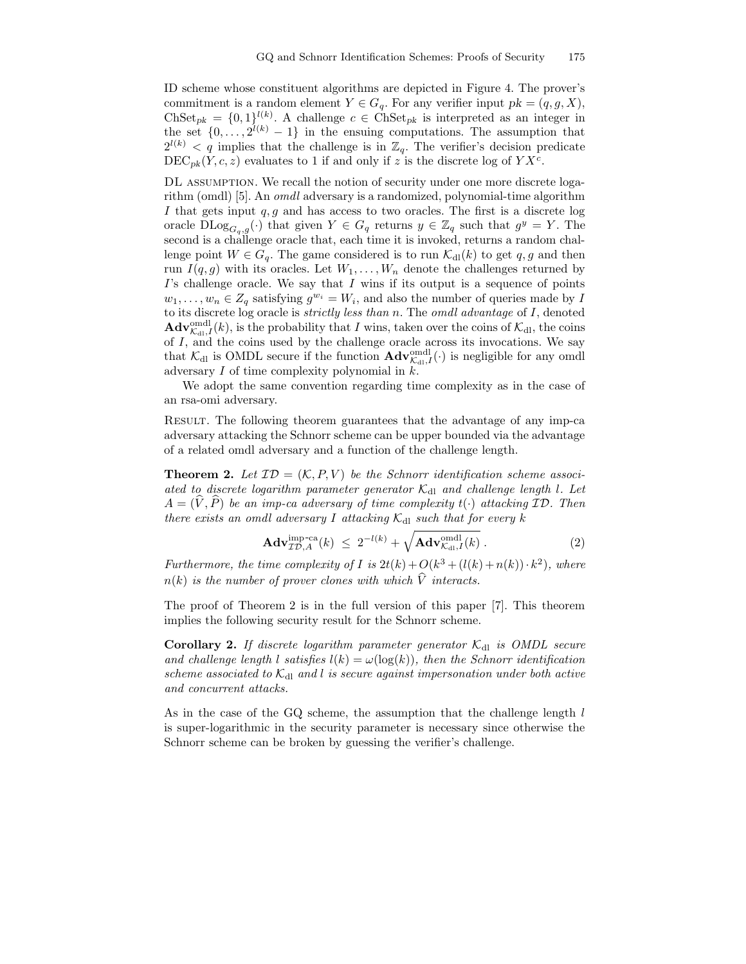ID scheme whose constituent algorithms are depicted in Figure 4. The prover's commitment is a random element  $Y \in G_q$ . For any verifier input  $pk = (q, g, X)$ , ChSet<sub>pk</sub> =  $\{0,1\}^{l(k)}$ . A challenge  $c \in \text{ChSet}_{pk}$  is interpreted as an integer in the set  $\{0, \ldots, 2^{l(k)}-1\}$  in the ensuing computations. The assumption that  $2^{l(k)} < q$  implies that the challenge is in  $\mathbb{Z}_q$ . The verifier's decision predicate  $DEC_{pk}(Y, c, z)$  evaluates to 1 if and only if z is the discrete log of  $YX<sup>c</sup>$ .

DL ASSUMPTION. We recall the notion of security under one more discrete logarithm (omdl) [5]. An omdl adversary is a randomized, polynomial-time algorithm I that gets input  $q, q$  and has access to two oracles. The first is a discrete log oracle  $\text{DLog}_{G_q,g}(\cdot)$  that given  $Y \in G_q$  returns  $y \in \mathbb{Z}_q$  such that  $g^y = Y$ . The second is a challenge oracle that, each time it is invoked, returns a random challenge point  $W \in G_q$ . The game considered is to run  $\mathcal{K}_{\text{dl}}(k)$  to get q, g and then run  $I(q, g)$  with its oracles. Let  $W_1, \ldots, W_n$  denote the challenges returned by  $I$ 's challenge oracle. We say that  $I$  wins if its output is a sequence of points  $w_1, \ldots, w_n \in Z_q$  satisfying  $g^{w_i} = W_i$ , and also the number of queries made by I to its discrete log oracle is *strictly less than n*. The *omdl advantage* of  $I$ , denoted  $\mathbf{Adv}_{\mathcal{K}_{\text{d1}},I}^{\text{omdl}}(k)$ , is the probability that I wins, taken over the coins of  $\mathcal{K}_{\text{d1}}$ , the coins of  $I$ , and the coins used by the challenge oracle across its invocations. We say that  $\mathcal{K}_{\text{dl}}$  is OMDL secure if the function  $\mathbf{Adv}_{\mathcal{K}_{\text{dl}},I}^{\text{omdl}}(\cdot)$  is negligible for any omdl adversary I of time complexity polynomial in k.

We adopt the same convention regarding time complexity as in the case of an rsa-omi adversary.

Result. The following theorem guarantees that the advantage of any imp-ca adversary attacking the Schnorr scheme can be upper bounded via the advantage of a related omdl adversary and a function of the challenge length.

**Theorem 2.** Let  $\mathcal{ID} = (K, P, V)$  be the Schnorr identification scheme associated to discrete logarithm parameter generator  $K_{dl}$  and challenge length l. Let  $A = (\hat{V}, \hat{P})$  be an imp-ca adversary of time complexity  $t(\cdot)$  attacking ID. Then there exists an omdl adversary I attacking  $K_{\text{dl}}$  such that for every k

$$
\mathbf{Adv}_{\mathcal{ID},A}^{\text{imp-ca}}(k) \ \leq \ 2^{-l(k)} + \sqrt{\mathbf{Adv}_{\mathcal{K}_{\text{dl}},I}^{\text{omdl}}(k)} \ . \tag{2}
$$

Furthermore, the time complexity of I is  $2t(k) + O(k^3 + (l(k) + n(k)) \cdot k^2)$ , where  $n(k)$  is the number of prover clones with which  $\widehat{V}$  interacts.

The proof of Theorem 2 is in the full version of this paper [7]. This theorem implies the following security result for the Schnorr scheme.

**Corollary 2.** If discrete logarithm parameter generator  $K_{\text{dl}}$  is OMDL secure and challenge length l satisfies  $l(k) = \omega(\log(k))$ , then the Schnorr identification scheme associated to  $\mathcal{K}_{dl}$  and l is secure against impersonation under both active and concurrent attacks.

As in the case of the GQ scheme, the assumption that the challenge length l is super-logarithmic in the security parameter is necessary since otherwise the Schnorr scheme can be broken by guessing the verifier's challenge.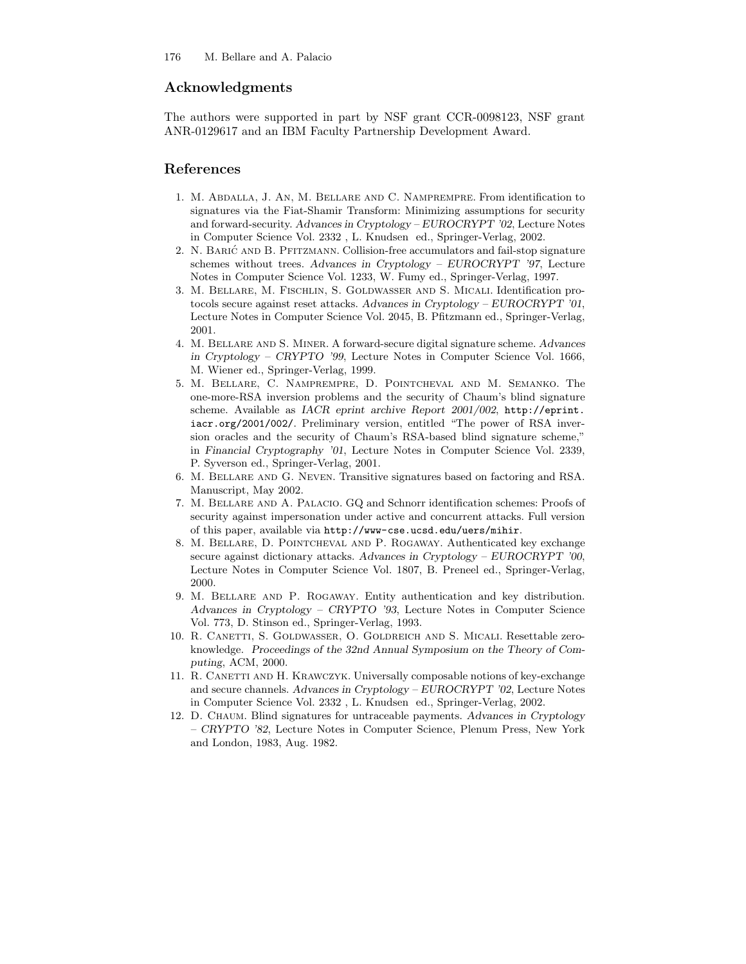## Acknowledgments

The authors were supported in part by NSF grant CCR-0098123, NSF grant ANR-0129617 and an IBM Faculty Partnership Development Award.

## References

- 1. M. Abdalla, J. An, M. Bellare and C. Namprempre. From identification to signatures via the Fiat-Shamir Transform: Minimizing assumptions for security and forward-security. Advances in Cryptology – EUROCRYPT '02, Lecture Notes in Computer Science Vol. 2332 , L. Knudsen ed., Springer-Verlag, 2002.
- 2. N. BARIĆ AND B. PFITZMANN. Collision-free accumulators and fail-stop signature schemes without trees. Advances in Cryptology – EUROCRYPT '97, Lecture Notes in Computer Science Vol. 1233, W. Fumy ed., Springer-Verlag, 1997.
- 3. M. Bellare, M. Fischlin, S. Goldwasser and S. Micali. Identification protocols secure against reset attacks. Advances in Cryptology – EUROCRYPT '01, Lecture Notes in Computer Science Vol. 2045, B. Pfitzmann ed., Springer-Verlag, 2001.
- 4. M. Bellare and S. Miner. A forward-secure digital signature scheme. Advances in Cryptology – CRYPTO '99, Lecture Notes in Computer Science Vol. 1666, M. Wiener ed., Springer-Verlag, 1999.
- 5. M. Bellare, C. Namprempre, D. Pointcheval and M. Semanko. The one-more-RSA inversion problems and the security of Chaum's blind signature scheme. Available as IACR eprint archive Report 2001/002, http://eprint. iacr.org/2001/002/. Preliminary version, entitled "The power of RSA inversion oracles and the security of Chaum's RSA-based blind signature scheme," in Financial Cryptography '01, Lecture Notes in Computer Science Vol. 2339, P. Syverson ed., Springer-Verlag, 2001.
- 6. M. Bellare and G. Neven. Transitive signatures based on factoring and RSA. Manuscript, May 2002.
- 7. M. Bellare and A. Palacio. GQ and Schnorr identification schemes: Proofs of security against impersonation under active and concurrent attacks. Full version of this paper, available via http://www-cse.ucsd.edu/uers/mihir.
- 8. M. Bellare, D. Pointcheval and P. Rogaway. Authenticated key exchange secure against dictionary attacks. Advances in Cryptology – EUROCRYPT '00, Lecture Notes in Computer Science Vol. 1807, B. Preneel ed., Springer-Verlag, 2000.
- 9. M. Bellare and P. Rogaway. Entity authentication and key distribution. Advances in Cryptology – CRYPTO '93, Lecture Notes in Computer Science Vol. 773, D. Stinson ed., Springer-Verlag, 1993.
- 10. R. Canetti, S. Goldwasser, O. Goldreich and S. Micali. Resettable zeroknowledge. Proceedings of the 32nd Annual Symposium on the Theory of Computing, ACM, 2000.
- 11. R. CANETTI AND H. KRAWCZYK. Universally composable notions of key-exchange and secure channels. Advances in Cryptology – EUROCRYPT '02, Lecture Notes in Computer Science Vol. 2332 , L. Knudsen ed., Springer-Verlag, 2002.
- 12. D. Chaum. Blind signatures for untraceable payments. Advances in Cryptology – CRYPTO '82, Lecture Notes in Computer Science, Plenum Press, New York and London, 1983, Aug. 1982.